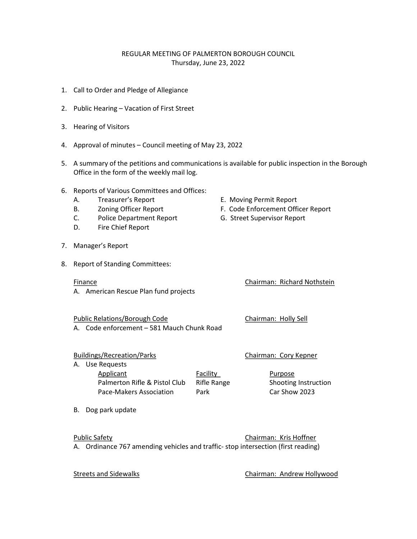## REGULAR MEETING OF PALMERTON BOROUGH COUNCIL Thursday, June 23, 2022

- 1. Call to Order and Pledge of Allegiance
- 2. Public Hearing Vacation of First Street
- 3. Hearing of Visitors
- 4. Approval of minutes Council meeting of May 23, 2022
- 5. A summary of the petitions and communications is available for public inspection in the Borough Office in the form of the weekly mail log.
- 6. Reports of Various Committees and Offices:
	- A. Treasurer's Report **E. Moving Permit Report**
	- B. Zoning Officer Report **F. Code Enforcement Officer Report**
	- C. Police Department Report G. Street Supervisor Report
	- D. Fire Chief Report
- 7. Manager's Report
- 8. Report of Standing Committees:

## Finance Chairman: Richard Nothstein

A. American Rescue Plan fund projects

Public Relations/Borough Code Chairman: Holly Sell A. Code enforcement – 581 Mauch Chunk Road

Buildings/Recreation/Parks Chairman: Cory Kepner

A. Use Requests

Applicant **Facility** Purpose Palmerton Rifle & Pistol Club Rifle Range Shooting Instruction Pace-Makers Association Park Car Show 2023

B. Dog park update

Public Safety **Chairman: Kris Hoffner** A. Ordinance 767 amending vehicles and traffic- stop intersection (first reading)

Streets and Sidewalks Chairman: Andrew Hollywood